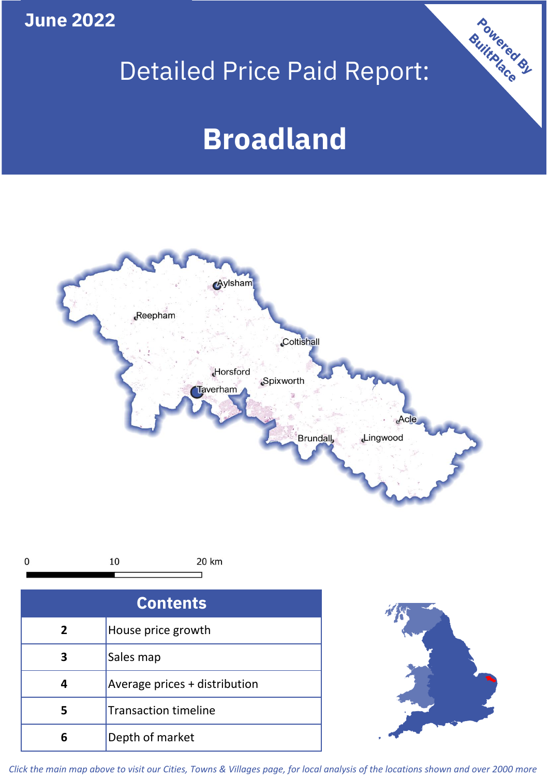**June 2022**

# Detailed Price Paid Report:

Powered By

# **Broadland**



*Click the main map above to visit our Cities, Towns & Villages page, for local analysis of the locations shown and over 2000 more*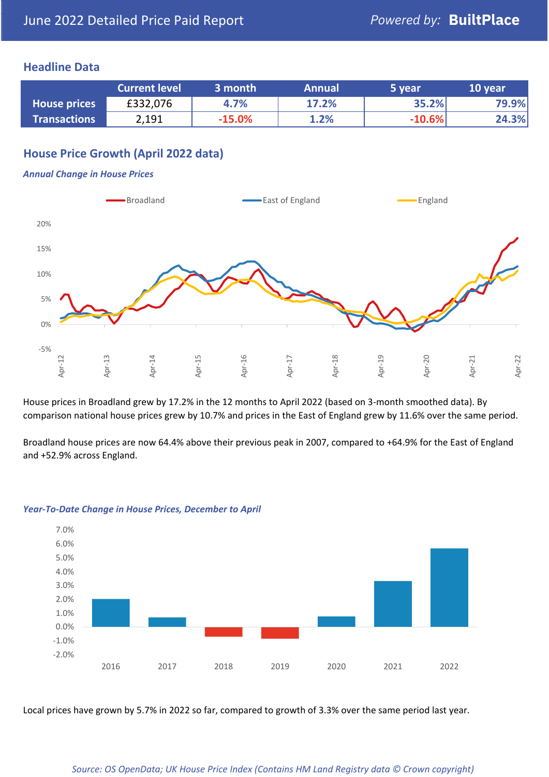### **Headline Data**

|                     | <b>Current level</b> | 3 month  | <b>Annual</b> | '5 vear  | 10 year |
|---------------------|----------------------|----------|---------------|----------|---------|
| <b>House prices</b> | £332,076             | 4.7%     | 17.2%         | 35.2%    | 79.9%   |
| <b>Transactions</b> | 2,191                | $-15.0%$ | 1.2%          | $-10.6%$ | 24.3%   |

# **House Price Growth (April 2022 data)**

#### *Annual Change in House Prices*



House prices in Broadland grew by 17.2% in the 12 months to April 2022 (based on 3-month smoothed data). By comparison national house prices grew by 10.7% and prices in the East of England grew by 11.6% over the same period.

Broadland house prices are now 64.4% above their previous peak in 2007, compared to +64.9% for the East of England and +52.9% across England.



#### *Year-To-Date Change in House Prices, December to April*

Local prices have grown by 5.7% in 2022 so far, compared to growth of 3.3% over the same period last year.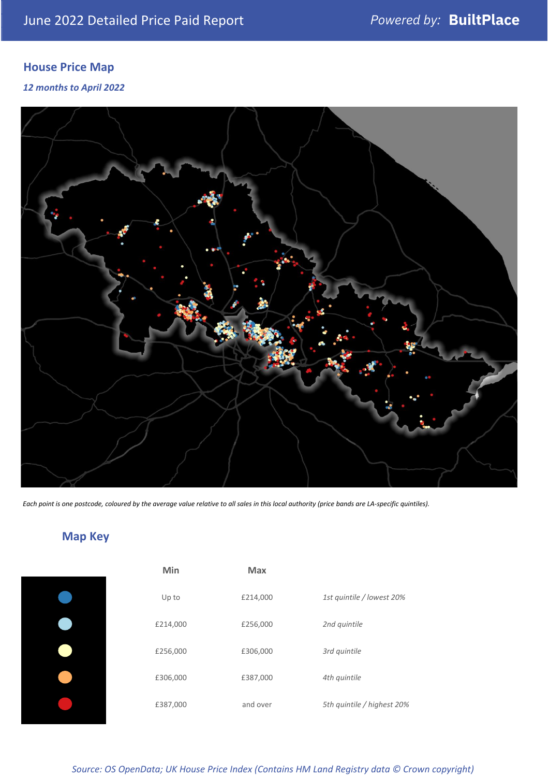# **House Price Map**

*12 months to April 2022*



*Each point is one postcode, coloured by the average value relative to all sales in this local authority (price bands are LA-specific quintiles).*

# **Map Key**

| Min      | <b>Max</b> |                            |
|----------|------------|----------------------------|
| Up to    | £214,000   | 1st quintile / lowest 20%  |
| £214,000 | £256,000   | 2nd quintile               |
| £256,000 | £306,000   | 3rd quintile               |
| £306,000 | £387,000   | 4th quintile               |
| £387,000 | and over   | 5th quintile / highest 20% |

*Source: OS OpenData; UK House Price Index (Contains HM Land Registry data © Crown copyright)*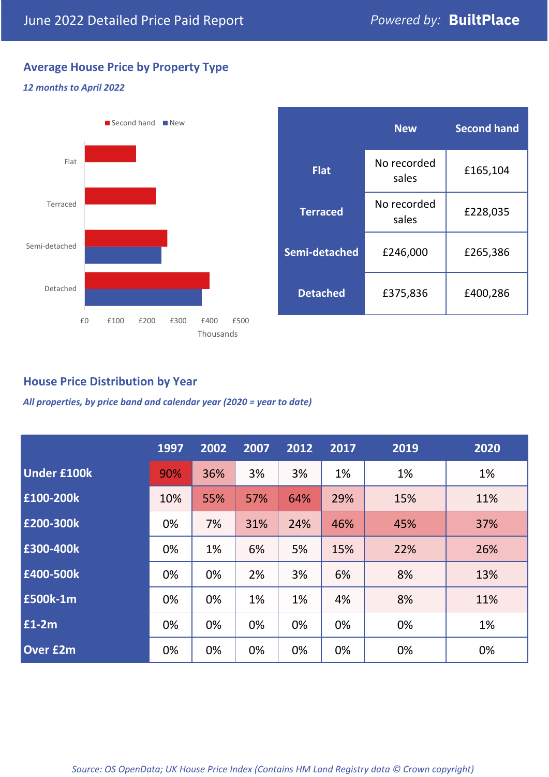# **Average House Price by Property Type**

#### *12 months to April 2022*



|                 | <b>New</b>           | <b>Second hand</b> |  |
|-----------------|----------------------|--------------------|--|
| <b>Flat</b>     | No recorded<br>sales | £165,104           |  |
| <b>Terraced</b> | No recorded<br>sales | £228,035           |  |
| Semi-detached   | £246,000             | £265,386           |  |
| <b>Detached</b> | £375,836             | £400,286           |  |

## **House Price Distribution by Year**

*All properties, by price band and calendar year (2020 = year to date)*

|                    | 1997 | 2002 | 2007 | 2012 | 2017 | 2019 | 2020 |
|--------------------|------|------|------|------|------|------|------|
| <b>Under £100k</b> | 90%  | 36%  | 3%   | 3%   | 1%   | 1%   | 1%   |
| £100-200k          | 10%  | 55%  | 57%  | 64%  | 29%  | 15%  | 11%  |
| £200-300k          | 0%   | 7%   | 31%  | 24%  | 46%  | 45%  | 37%  |
| £300-400k          | 0%   | 1%   | 6%   | 5%   | 15%  | 22%  | 26%  |
| £400-500k          | 0%   | 0%   | 2%   | 3%   | 6%   | 8%   | 13%  |
| <b>£500k-1m</b>    | 0%   | 0%   | 1%   | 1%   | 4%   | 8%   | 11%  |
| £1-2m              | 0%   | 0%   | 0%   | 0%   | 0%   | 0%   | 1%   |
| <b>Over £2m</b>    | 0%   | 0%   | 0%   | 0%   | 0%   | 0%   | 0%   |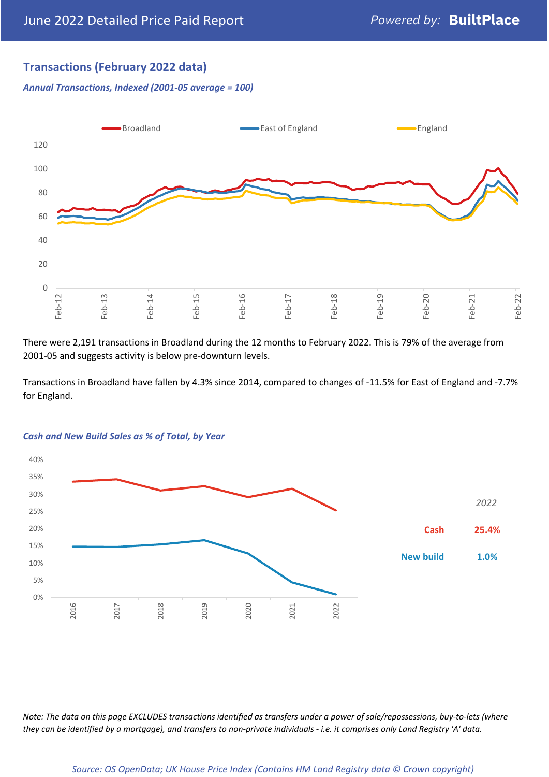# **Transactions (February 2022 data)**

*Annual Transactions, Indexed (2001-05 average = 100)*



There were 2,191 transactions in Broadland during the 12 months to February 2022. This is 79% of the average from 2001-05 and suggests activity is below pre-downturn levels.

Transactions in Broadland have fallen by 4.3% since 2014, compared to changes of -11.5% for East of England and -7.7% for England.



#### *Cash and New Build Sales as % of Total, by Year*

*Note: The data on this page EXCLUDES transactions identified as transfers under a power of sale/repossessions, buy-to-lets (where they can be identified by a mortgage), and transfers to non-private individuals - i.e. it comprises only Land Registry 'A' data.*